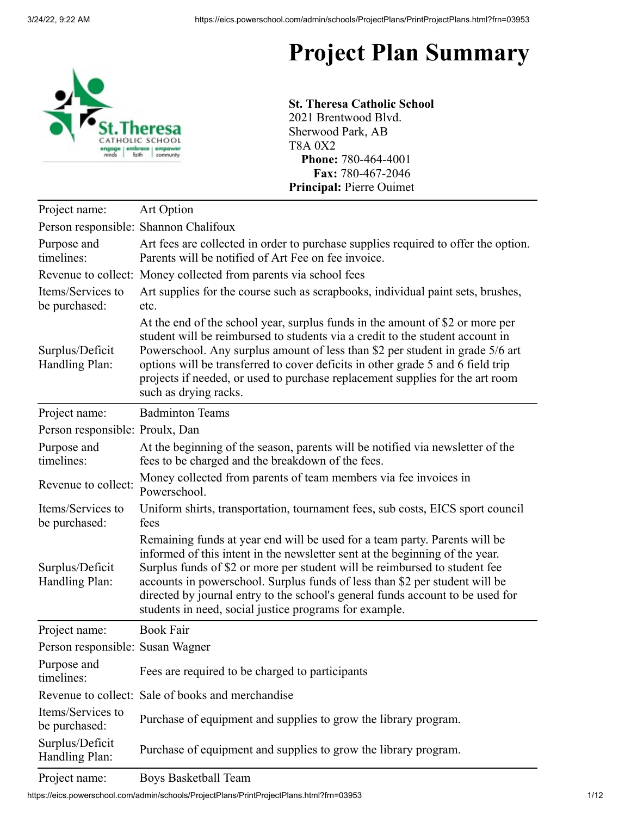## **Project Plan Summary**



**St. Theresa Catholic School** 2021 Brentwood Blvd. Sherwood Park, AB T8A 0X2 **Phone:** 780-464-4001 **Fax:** 780-467-2046 **Principal:** Pierre Ouimet

| Person responsible: Shannon Chalifoux<br>Purpose and<br>Art fees are collected in order to purchase supplies required to offer the option.<br>timelines:<br>Parents will be notified of Art Fee on fee invoice.<br>Revenue to collect: Money collected from parents via school fees<br>Items/Services to<br>Art supplies for the course such as scrapbooks, individual paint sets, brushes,<br>be purchased:<br>etc.<br>At the end of the school year, surplus funds in the amount of \$2 or more per<br>student will be reimbursed to students via a credit to the student account in<br>Surplus/Deficit<br>Powerschool. Any surplus amount of less than \$2 per student in grade 5/6 art<br>Handling Plan:<br>options will be transferred to cover deficits in other grade 5 and 6 field trip<br>projects if needed, or used to purchase replacement supplies for the art room<br>such as drying racks.<br><b>Badminton Teams</b><br>Project name:<br>Person responsible: Proulx, Dan<br>Purpose and<br>At the beginning of the season, parents will be notified via newsletter of the<br>timelines:<br>fees to be charged and the breakdown of the fees.<br>Money collected from parents of team members via fee invoices in<br>Revenue to collect:<br>Powerschool.<br>Items/Services to<br>Uniform shirts, transportation, tournament fees, sub costs, EICS sport council<br>be purchased:<br>fees<br>Remaining funds at year end will be used for a team party. Parents will be<br>informed of this intent in the newsletter sent at the beginning of the year.<br>Surplus/Deficit<br>Surplus funds of \$2 or more per student will be reimbursed to student fee<br>Handling Plan:<br>accounts in powerschool. Surplus funds of less than \$2 per student will be<br>directed by journal entry to the school's general funds account to be used for<br>students in need, social justice programs for example.<br><b>Book Fair</b><br>Project name:<br>Person responsible: Susan Wagner<br>Purpose and<br>Fees are required to be charged to participants<br>timelines:<br>Revenue to collect: Sale of books and merchandise<br>Items/Services to<br>Purchase of equipment and supplies to grow the library program.<br>be purchased:<br>Surplus/Deficit<br>Purchase of equipment and supplies to grow the library program.<br>Handling Plan: | Project name: | <b>Art Option</b> |
|---------------------------------------------------------------------------------------------------------------------------------------------------------------------------------------------------------------------------------------------------------------------------------------------------------------------------------------------------------------------------------------------------------------------------------------------------------------------------------------------------------------------------------------------------------------------------------------------------------------------------------------------------------------------------------------------------------------------------------------------------------------------------------------------------------------------------------------------------------------------------------------------------------------------------------------------------------------------------------------------------------------------------------------------------------------------------------------------------------------------------------------------------------------------------------------------------------------------------------------------------------------------------------------------------------------------------------------------------------------------------------------------------------------------------------------------------------------------------------------------------------------------------------------------------------------------------------------------------------------------------------------------------------------------------------------------------------------------------------------------------------------------------------------------------------------------------------------------------------------------------------------------------------------------------------------------------------------------------------------------------------------------------------------------------------------------------------------------------------------------------------------------------------------------------------------------------------------------------------------------------------------------------------------------------------------------------------------------------|---------------|-------------------|
|                                                                                                                                                                                                                                                                                                                                                                                                                                                                                                                                                                                                                                                                                                                                                                                                                                                                                                                                                                                                                                                                                                                                                                                                                                                                                                                                                                                                                                                                                                                                                                                                                                                                                                                                                                                                                                                                                                                                                                                                                                                                                                                                                                                                                                                                                                                                                   |               |                   |
|                                                                                                                                                                                                                                                                                                                                                                                                                                                                                                                                                                                                                                                                                                                                                                                                                                                                                                                                                                                                                                                                                                                                                                                                                                                                                                                                                                                                                                                                                                                                                                                                                                                                                                                                                                                                                                                                                                                                                                                                                                                                                                                                                                                                                                                                                                                                                   |               |                   |
|                                                                                                                                                                                                                                                                                                                                                                                                                                                                                                                                                                                                                                                                                                                                                                                                                                                                                                                                                                                                                                                                                                                                                                                                                                                                                                                                                                                                                                                                                                                                                                                                                                                                                                                                                                                                                                                                                                                                                                                                                                                                                                                                                                                                                                                                                                                                                   |               |                   |
|                                                                                                                                                                                                                                                                                                                                                                                                                                                                                                                                                                                                                                                                                                                                                                                                                                                                                                                                                                                                                                                                                                                                                                                                                                                                                                                                                                                                                                                                                                                                                                                                                                                                                                                                                                                                                                                                                                                                                                                                                                                                                                                                                                                                                                                                                                                                                   |               |                   |
|                                                                                                                                                                                                                                                                                                                                                                                                                                                                                                                                                                                                                                                                                                                                                                                                                                                                                                                                                                                                                                                                                                                                                                                                                                                                                                                                                                                                                                                                                                                                                                                                                                                                                                                                                                                                                                                                                                                                                                                                                                                                                                                                                                                                                                                                                                                                                   |               |                   |
|                                                                                                                                                                                                                                                                                                                                                                                                                                                                                                                                                                                                                                                                                                                                                                                                                                                                                                                                                                                                                                                                                                                                                                                                                                                                                                                                                                                                                                                                                                                                                                                                                                                                                                                                                                                                                                                                                                                                                                                                                                                                                                                                                                                                                                                                                                                                                   |               |                   |
|                                                                                                                                                                                                                                                                                                                                                                                                                                                                                                                                                                                                                                                                                                                                                                                                                                                                                                                                                                                                                                                                                                                                                                                                                                                                                                                                                                                                                                                                                                                                                                                                                                                                                                                                                                                                                                                                                                                                                                                                                                                                                                                                                                                                                                                                                                                                                   |               |                   |
|                                                                                                                                                                                                                                                                                                                                                                                                                                                                                                                                                                                                                                                                                                                                                                                                                                                                                                                                                                                                                                                                                                                                                                                                                                                                                                                                                                                                                                                                                                                                                                                                                                                                                                                                                                                                                                                                                                                                                                                                                                                                                                                                                                                                                                                                                                                                                   |               |                   |
|                                                                                                                                                                                                                                                                                                                                                                                                                                                                                                                                                                                                                                                                                                                                                                                                                                                                                                                                                                                                                                                                                                                                                                                                                                                                                                                                                                                                                                                                                                                                                                                                                                                                                                                                                                                                                                                                                                                                                                                                                                                                                                                                                                                                                                                                                                                                                   |               |                   |
|                                                                                                                                                                                                                                                                                                                                                                                                                                                                                                                                                                                                                                                                                                                                                                                                                                                                                                                                                                                                                                                                                                                                                                                                                                                                                                                                                                                                                                                                                                                                                                                                                                                                                                                                                                                                                                                                                                                                                                                                                                                                                                                                                                                                                                                                                                                                                   |               |                   |
|                                                                                                                                                                                                                                                                                                                                                                                                                                                                                                                                                                                                                                                                                                                                                                                                                                                                                                                                                                                                                                                                                                                                                                                                                                                                                                                                                                                                                                                                                                                                                                                                                                                                                                                                                                                                                                                                                                                                                                                                                                                                                                                                                                                                                                                                                                                                                   |               |                   |
|                                                                                                                                                                                                                                                                                                                                                                                                                                                                                                                                                                                                                                                                                                                                                                                                                                                                                                                                                                                                                                                                                                                                                                                                                                                                                                                                                                                                                                                                                                                                                                                                                                                                                                                                                                                                                                                                                                                                                                                                                                                                                                                                                                                                                                                                                                                                                   |               |                   |
|                                                                                                                                                                                                                                                                                                                                                                                                                                                                                                                                                                                                                                                                                                                                                                                                                                                                                                                                                                                                                                                                                                                                                                                                                                                                                                                                                                                                                                                                                                                                                                                                                                                                                                                                                                                                                                                                                                                                                                                                                                                                                                                                                                                                                                                                                                                                                   |               |                   |
|                                                                                                                                                                                                                                                                                                                                                                                                                                                                                                                                                                                                                                                                                                                                                                                                                                                                                                                                                                                                                                                                                                                                                                                                                                                                                                                                                                                                                                                                                                                                                                                                                                                                                                                                                                                                                                                                                                                                                                                                                                                                                                                                                                                                                                                                                                                                                   |               |                   |
|                                                                                                                                                                                                                                                                                                                                                                                                                                                                                                                                                                                                                                                                                                                                                                                                                                                                                                                                                                                                                                                                                                                                                                                                                                                                                                                                                                                                                                                                                                                                                                                                                                                                                                                                                                                                                                                                                                                                                                                                                                                                                                                                                                                                                                                                                                                                                   |               |                   |
|                                                                                                                                                                                                                                                                                                                                                                                                                                                                                                                                                                                                                                                                                                                                                                                                                                                                                                                                                                                                                                                                                                                                                                                                                                                                                                                                                                                                                                                                                                                                                                                                                                                                                                                                                                                                                                                                                                                                                                                                                                                                                                                                                                                                                                                                                                                                                   |               |                   |
|                                                                                                                                                                                                                                                                                                                                                                                                                                                                                                                                                                                                                                                                                                                                                                                                                                                                                                                                                                                                                                                                                                                                                                                                                                                                                                                                                                                                                                                                                                                                                                                                                                                                                                                                                                                                                                                                                                                                                                                                                                                                                                                                                                                                                                                                                                                                                   |               |                   |

Project name: Boys Basketball Team

https://eics.powerschool.com/admin/schools/ProjectPlans/PrintProjectPlans.html?frn=03953 1/12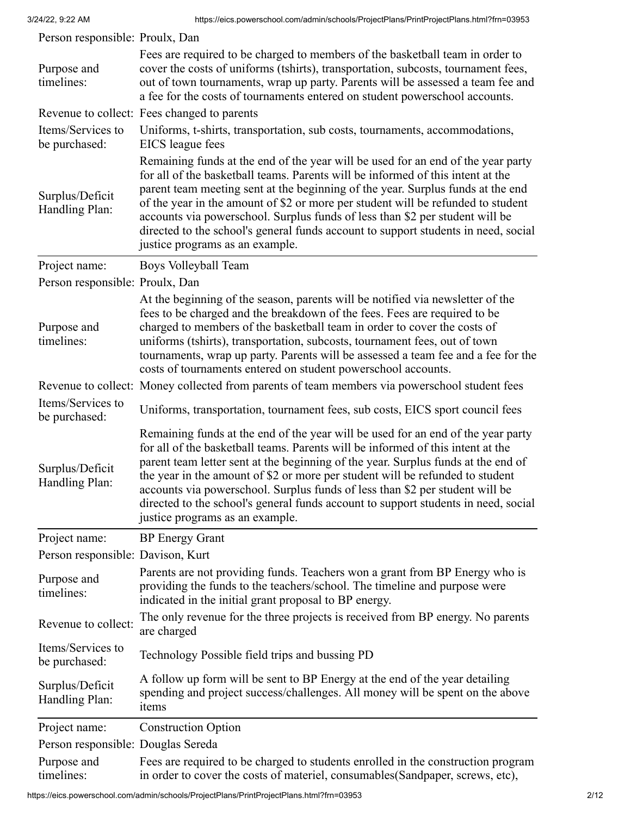| Person responsible: Proulx, Dan    |                                                                                                                                                                                                                                                                                                                                                                                                                                                                                                                                                     |
|------------------------------------|-----------------------------------------------------------------------------------------------------------------------------------------------------------------------------------------------------------------------------------------------------------------------------------------------------------------------------------------------------------------------------------------------------------------------------------------------------------------------------------------------------------------------------------------------------|
| Purpose and<br>timelines:          | Fees are required to be charged to members of the basketball team in order to<br>cover the costs of uniforms (tshirts), transportation, subcosts, tournament fees,<br>out of town tournaments, wrap up party. Parents will be assessed a team fee and<br>a fee for the costs of tournaments entered on student powerschool accounts.                                                                                                                                                                                                                |
|                                    | Revenue to collect: Fees changed to parents                                                                                                                                                                                                                                                                                                                                                                                                                                                                                                         |
| Items/Services to<br>be purchased: | Uniforms, t-shirts, transportation, sub costs, tournaments, accommodations,<br>EICS league fees                                                                                                                                                                                                                                                                                                                                                                                                                                                     |
| Surplus/Deficit<br>Handling Plan:  | Remaining funds at the end of the year will be used for an end of the year party<br>for all of the basketball teams. Parents will be informed of this intent at the<br>parent team meeting sent at the beginning of the year. Surplus funds at the end<br>of the year in the amount of \$2 or more per student will be refunded to student<br>accounts via powerschool. Surplus funds of less than \$2 per student will be<br>directed to the school's general funds account to support students in need, social<br>justice programs as an example. |
| Project name:                      | Boys Volleyball Team                                                                                                                                                                                                                                                                                                                                                                                                                                                                                                                                |
| Person responsible: Proulx, Dan    |                                                                                                                                                                                                                                                                                                                                                                                                                                                                                                                                                     |
| Purpose and<br>timelines:          | At the beginning of the season, parents will be notified via newsletter of the<br>fees to be charged and the breakdown of the fees. Fees are required to be<br>charged to members of the basketball team in order to cover the costs of<br>uniforms (tshirts), transportation, subcosts, tournament fees, out of town<br>tournaments, wrap up party. Parents will be assessed a team fee and a fee for the<br>costs of tournaments entered on student powerschool accounts.                                                                         |
|                                    | Revenue to collect: Money collected from parents of team members via powerschool student fees                                                                                                                                                                                                                                                                                                                                                                                                                                                       |
| Items/Services to<br>be purchased: | Uniforms, transportation, tournament fees, sub costs, EICS sport council fees                                                                                                                                                                                                                                                                                                                                                                                                                                                                       |
| Surplus/Deficit<br>Handling Plan:  | Remaining funds at the end of the year will be used for an end of the year party<br>for all of the basketball teams. Parents will be informed of this intent at the<br>parent team letter sent at the beginning of the year. Surplus funds at the end of<br>the year in the amount of \$2 or more per student will be refunded to student<br>accounts via powerschool. Surplus funds of less than \$2 per student will be<br>directed to the school's general funds account to support students in need, social<br>justice programs as an example.  |
| Project name:                      | <b>BP</b> Energy Grant                                                                                                                                                                                                                                                                                                                                                                                                                                                                                                                              |
| Person responsible: Davison, Kurt  |                                                                                                                                                                                                                                                                                                                                                                                                                                                                                                                                                     |
| Purpose and<br>timelines:          | Parents are not providing funds. Teachers won a grant from BP Energy who is<br>providing the funds to the teachers/school. The timeline and purpose were<br>indicated in the initial grant proposal to BP energy.                                                                                                                                                                                                                                                                                                                                   |
| Revenue to collect:                | The only revenue for the three projects is received from BP energy. No parents<br>are charged                                                                                                                                                                                                                                                                                                                                                                                                                                                       |
| Items/Services to<br>be purchased: | Technology Possible field trips and bussing PD                                                                                                                                                                                                                                                                                                                                                                                                                                                                                                      |
| Surplus/Deficit<br>Handling Plan:  | A follow up form will be sent to BP Energy at the end of the year detailing<br>spending and project success/challenges. All money will be spent on the above<br>items                                                                                                                                                                                                                                                                                                                                                                               |
| Project name:                      | <b>Construction Option</b>                                                                                                                                                                                                                                                                                                                                                                                                                                                                                                                          |
| Person responsible: Douglas Sereda |                                                                                                                                                                                                                                                                                                                                                                                                                                                                                                                                                     |
| Purpose and<br>timelines:          | Fees are required to be charged to students enrolled in the construction program<br>in order to cover the costs of materiel, consumables (Sandpaper, screws, etc),                                                                                                                                                                                                                                                                                                                                                                                  |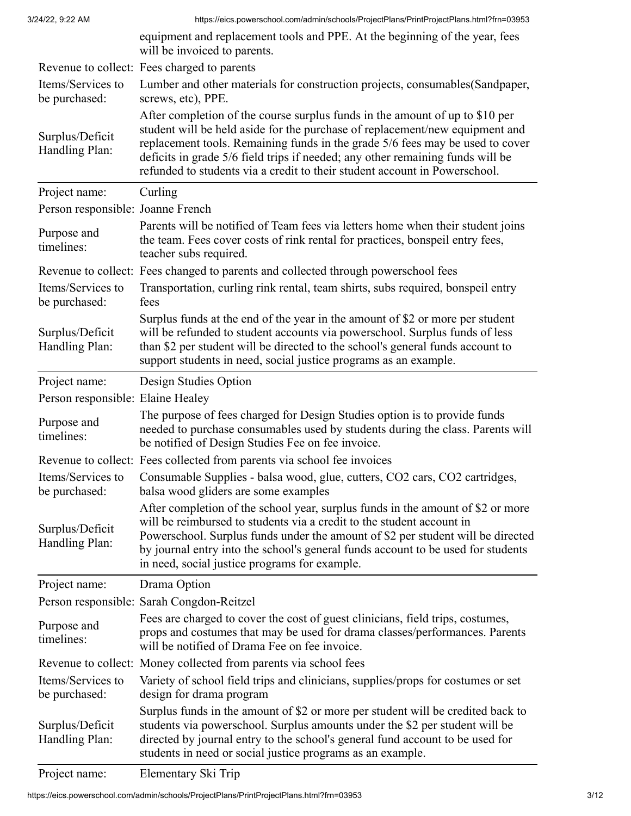|                                    | will be invoiced to parents.                                                                                                                                                                                                                                                                                                                                                                                  |
|------------------------------------|---------------------------------------------------------------------------------------------------------------------------------------------------------------------------------------------------------------------------------------------------------------------------------------------------------------------------------------------------------------------------------------------------------------|
|                                    | Revenue to collect: Fees charged to parents                                                                                                                                                                                                                                                                                                                                                                   |
| Items/Services to                  | Lumber and other materials for construction projects, consumables (Sandpaper,                                                                                                                                                                                                                                                                                                                                 |
| be purchased:                      | screws, etc), PPE.                                                                                                                                                                                                                                                                                                                                                                                            |
| Surplus/Deficit<br>Handling Plan:  | After completion of the course surplus funds in the amount of up to \$10 per<br>student will be held aside for the purchase of replacement/new equipment and<br>replacement tools. Remaining funds in the grade 5/6 fees may be used to cover<br>deficits in grade 5/6 field trips if needed; any other remaining funds will be<br>refunded to students via a credit to their student account in Powerschool. |
| Project name:                      | Curling                                                                                                                                                                                                                                                                                                                                                                                                       |
| Person responsible: Joanne French  |                                                                                                                                                                                                                                                                                                                                                                                                               |
| Purpose and<br>timelines:          | Parents will be notified of Team fees via letters home when their student joins<br>the team. Fees cover costs of rink rental for practices, bonspeil entry fees,<br>teacher subs required.                                                                                                                                                                                                                    |
|                                    | Revenue to collect: Fees changed to parents and collected through powerschool fees                                                                                                                                                                                                                                                                                                                            |
| Items/Services to<br>be purchased: | Transportation, curling rink rental, team shirts, subs required, bonspeil entry<br>fees                                                                                                                                                                                                                                                                                                                       |
| Surplus/Deficit<br>Handling Plan:  | Surplus funds at the end of the year in the amount of \$2 or more per student<br>will be refunded to student accounts via powerschool. Surplus funds of less<br>than \$2 per student will be directed to the school's general funds account to<br>support students in need, social justice programs as an example.                                                                                            |
| Project name:                      | Design Studies Option                                                                                                                                                                                                                                                                                                                                                                                         |
| Person responsible: Elaine Healey  |                                                                                                                                                                                                                                                                                                                                                                                                               |
| Purpose and<br>timelines:          | The purpose of fees charged for Design Studies option is to provide funds<br>needed to purchase consumables used by students during the class. Parents will<br>be notified of Design Studies Fee on fee invoice.                                                                                                                                                                                              |
|                                    | Revenue to collect: Fees collected from parents via school fee invoices                                                                                                                                                                                                                                                                                                                                       |
| Items/Services to<br>be purchased: | Consumable Supplies - balsa wood, glue, cutters, CO2 cars, CO2 cartridges,<br>balsa wood gliders are some examples                                                                                                                                                                                                                                                                                            |
| Surplus/Deficit<br>Handling Plan:  | After completion of the school year, surplus funds in the amount of \$2 or more<br>will be reimbursed to students via a credit to the student account in<br>Powerschool. Surplus funds under the amount of \$2 per student will be directed<br>by journal entry into the school's general funds account to be used for students<br>in need, social justice programs for example.                              |
| Project name:                      | Drama Option                                                                                                                                                                                                                                                                                                                                                                                                  |
|                                    | Person responsible: Sarah Congdon-Reitzel                                                                                                                                                                                                                                                                                                                                                                     |
| Purpose and<br>timelines:          | Fees are charged to cover the cost of guest clinicians, field trips, costumes,<br>props and costumes that may be used for drama classes/performances. Parents<br>will be notified of Drama Fee on fee invoice.                                                                                                                                                                                                |
|                                    | Revenue to collect: Money collected from parents via school fees                                                                                                                                                                                                                                                                                                                                              |
| Items/Services to<br>be purchased: | Variety of school field trips and clinicians, supplies/props for costumes or set<br>design for drama program                                                                                                                                                                                                                                                                                                  |
| Surplus/Deficit<br>Handling Plan:  | Surplus funds in the amount of \$2 or more per student will be credited back to<br>students via powerschool. Surplus amounts under the \$2 per student will be<br>directed by journal entry to the school's general fund account to be used for<br>students in need or social justice programs as an example.                                                                                                 |

Project name: Elementary Ski Trip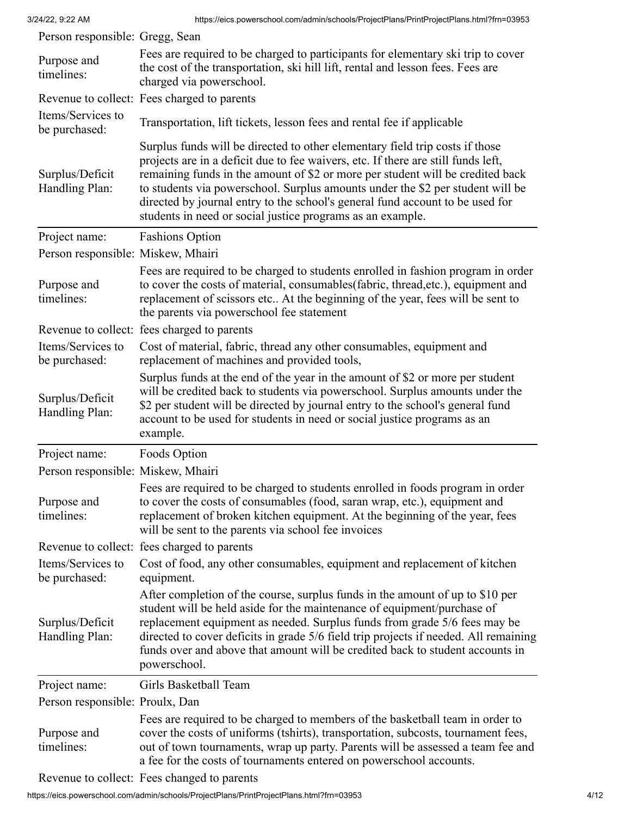| Person responsible: Gregg, Sean    |                                                                                                                                                                                                                                                                                                                                                                                                                                                                                      |
|------------------------------------|--------------------------------------------------------------------------------------------------------------------------------------------------------------------------------------------------------------------------------------------------------------------------------------------------------------------------------------------------------------------------------------------------------------------------------------------------------------------------------------|
| Purpose and<br>timelines:          | Fees are required to be charged to participants for elementary ski trip to cover<br>the cost of the transportation, ski hill lift, rental and lesson fees. Fees are<br>charged via powerschool.                                                                                                                                                                                                                                                                                      |
|                                    | Revenue to collect: Fees charged to parents                                                                                                                                                                                                                                                                                                                                                                                                                                          |
| Items/Services to<br>be purchased: | Transportation, lift tickets, lesson fees and rental fee if applicable                                                                                                                                                                                                                                                                                                                                                                                                               |
| Surplus/Deficit<br>Handling Plan:  | Surplus funds will be directed to other elementary field trip costs if those<br>projects are in a deficit due to fee waivers, etc. If there are still funds left,<br>remaining funds in the amount of \$2 or more per student will be credited back<br>to students via powerschool. Surplus amounts under the \$2 per student will be<br>directed by journal entry to the school's general fund account to be used for<br>students in need or social justice programs as an example. |
| Project name:                      | <b>Fashions Option</b>                                                                                                                                                                                                                                                                                                                                                                                                                                                               |
| Person responsible: Miskew, Mhairi |                                                                                                                                                                                                                                                                                                                                                                                                                                                                                      |
| Purpose and<br>timelines:          | Fees are required to be charged to students enrolled in fashion program in order<br>to cover the costs of material, consumables (fabric, thread, etc.), equipment and<br>replacement of scissors etc At the beginning of the year, fees will be sent to<br>the parents via powerschool fee statement                                                                                                                                                                                 |
|                                    | Revenue to collect: fees charged to parents                                                                                                                                                                                                                                                                                                                                                                                                                                          |
| Items/Services to<br>be purchased: | Cost of material, fabric, thread any other consumables, equipment and<br>replacement of machines and provided tools,                                                                                                                                                                                                                                                                                                                                                                 |
| Surplus/Deficit<br>Handling Plan:  | Surplus funds at the end of the year in the amount of \$2 or more per student<br>will be credited back to students via powerschool. Surplus amounts under the<br>\$2 per student will be directed by journal entry to the school's general fund<br>account to be used for students in need or social justice programs as an<br>example.                                                                                                                                              |
| Project name:                      | Foods Option                                                                                                                                                                                                                                                                                                                                                                                                                                                                         |
| Person responsible: Miskew, Mhairi |                                                                                                                                                                                                                                                                                                                                                                                                                                                                                      |
| Purpose and<br>timelines:          | Fees are required to be charged to students enrolled in foods program in order<br>to cover the costs of consumables (food, saran wrap, etc.), equipment and<br>replacement of broken kitchen equipment. At the beginning of the year, fees<br>will be sent to the parents via school fee invoices                                                                                                                                                                                    |
|                                    | Revenue to collect: fees charged to parents                                                                                                                                                                                                                                                                                                                                                                                                                                          |
| Items/Services to<br>be purchased: | Cost of food, any other consumables, equipment and replacement of kitchen<br>equipment.                                                                                                                                                                                                                                                                                                                                                                                              |
| Surplus/Deficit<br>Handling Plan:  | After completion of the course, surplus funds in the amount of up to \$10 per<br>student will be held aside for the maintenance of equipment/purchase of<br>replacement equipment as needed. Surplus funds from grade 5/6 fees may be<br>directed to cover deficits in grade 5/6 field trip projects if needed. All remaining<br>funds over and above that amount will be credited back to student accounts in<br>powerschool.                                                       |
| Project name:                      | Girls Basketball Team                                                                                                                                                                                                                                                                                                                                                                                                                                                                |
| Person responsible: Proulx, Dan    |                                                                                                                                                                                                                                                                                                                                                                                                                                                                                      |
| Purpose and<br>timelines:          | Fees are required to be charged to members of the basketball team in order to<br>cover the costs of uniforms (tshirts), transportation, subcosts, tournament fees,<br>out of town tournaments, wrap up party. Parents will be assessed a team fee and<br>a fee for the costs of tournaments entered on powerschool accounts.                                                                                                                                                         |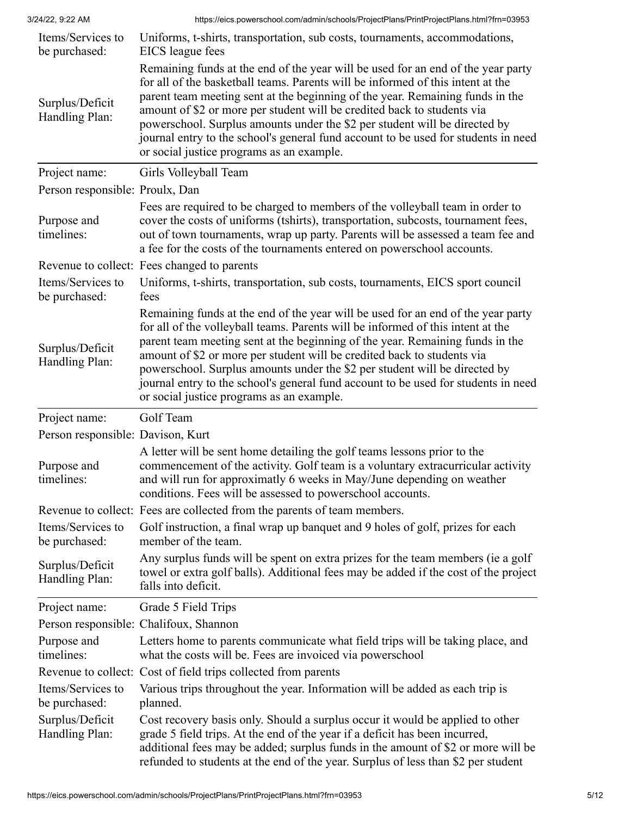| Items/Services to<br>be purchased: | Uniforms, t-shirts, transportation, sub costs, tournaments, accommodations,<br>EICS league fees                                                                                                                                                                                                                                                                                                                                                                                                                                                  |
|------------------------------------|--------------------------------------------------------------------------------------------------------------------------------------------------------------------------------------------------------------------------------------------------------------------------------------------------------------------------------------------------------------------------------------------------------------------------------------------------------------------------------------------------------------------------------------------------|
| Surplus/Deficit<br>Handling Plan:  | Remaining funds at the end of the year will be used for an end of the year party<br>for all of the basketball teams. Parents will be informed of this intent at the<br>parent team meeting sent at the beginning of the year. Remaining funds in the<br>amount of \$2 or more per student will be credited back to students via<br>powerschool. Surplus amounts under the \$2 per student will be directed by<br>journal entry to the school's general fund account to be used for students in need<br>or social justice programs as an example. |
| Project name:                      | Girls Volleyball Team                                                                                                                                                                                                                                                                                                                                                                                                                                                                                                                            |
| Person responsible: Proulx, Dan    |                                                                                                                                                                                                                                                                                                                                                                                                                                                                                                                                                  |
| Purpose and<br>timelines:          | Fees are required to be charged to members of the volleyball team in order to<br>cover the costs of uniforms (tshirts), transportation, subcosts, tournament fees,<br>out of town tournaments, wrap up party. Parents will be assessed a team fee and<br>a fee for the costs of the tournaments entered on powerschool accounts.                                                                                                                                                                                                                 |
|                                    | Revenue to collect: Fees changed to parents                                                                                                                                                                                                                                                                                                                                                                                                                                                                                                      |
| Items/Services to<br>be purchased: | Uniforms, t-shirts, transportation, sub costs, tournaments, EICS sport council<br>fees                                                                                                                                                                                                                                                                                                                                                                                                                                                           |
| Surplus/Deficit<br>Handling Plan:  | Remaining funds at the end of the year will be used for an end of the year party<br>for all of the volleyball teams. Parents will be informed of this intent at the<br>parent team meeting sent at the beginning of the year. Remaining funds in the<br>amount of \$2 or more per student will be credited back to students via<br>powerschool. Surplus amounts under the \$2 per student will be directed by<br>journal entry to the school's general fund account to be used for students in need<br>or social justice programs as an example. |
| Project name:                      | Golf Team                                                                                                                                                                                                                                                                                                                                                                                                                                                                                                                                        |
| Person responsible: Davison, Kurt  |                                                                                                                                                                                                                                                                                                                                                                                                                                                                                                                                                  |
| Purpose and<br>timelines:          | A letter will be sent home detailing the golf teams lessons prior to the<br>commencement of the activity. Golf team is a voluntary extracurricular activity<br>and will run for approximatly 6 weeks in May/June depending on weather<br>conditions. Fees will be assessed to powerschool accounts.                                                                                                                                                                                                                                              |
|                                    | Revenue to collect: Fees are collected from the parents of team members.                                                                                                                                                                                                                                                                                                                                                                                                                                                                         |
| Items/Services to<br>be purchased: | Golf instruction, a final wrap up banquet and 9 holes of golf, prizes for each<br>member of the team.                                                                                                                                                                                                                                                                                                                                                                                                                                            |
| Surplus/Deficit<br>Handling Plan:  | Any surplus funds will be spent on extra prizes for the team members (ie a golf<br>towel or extra golf balls). Additional fees may be added if the cost of the project<br>falls into deficit.                                                                                                                                                                                                                                                                                                                                                    |
| Project name:                      | Grade 5 Field Trips                                                                                                                                                                                                                                                                                                                                                                                                                                                                                                                              |
|                                    | Person responsible: Chalifoux, Shannon                                                                                                                                                                                                                                                                                                                                                                                                                                                                                                           |
| Purpose and<br>timelines:          | Letters home to parents communicate what field trips will be taking place, and<br>what the costs will be. Fees are invoiced via powerschool                                                                                                                                                                                                                                                                                                                                                                                                      |
|                                    | Revenue to collect: Cost of field trips collected from parents                                                                                                                                                                                                                                                                                                                                                                                                                                                                                   |
| Items/Services to<br>be purchased: | Various trips throughout the year. Information will be added as each trip is<br>planned.                                                                                                                                                                                                                                                                                                                                                                                                                                                         |
| Surplus/Deficit<br>Handling Plan:  | Cost recovery basis only. Should a surplus occur it would be applied to other<br>grade 5 field trips. At the end of the year if a deficit has been incurred,<br>additional fees may be added; surplus funds in the amount of \$2 or more will be<br>refunded to students at the end of the year. Surplus of less than \$2 per student                                                                                                                                                                                                            |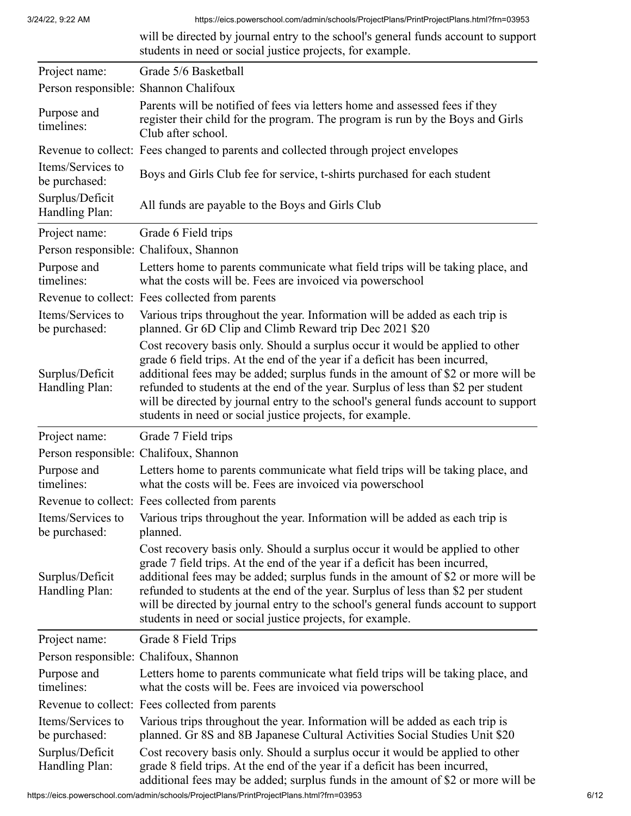|                                    | will be directed by journal entry to the school's general funds account to support<br>students in need or social justice projects, for example.                                                                                                                                                                                                                                                                                                                                          |
|------------------------------------|------------------------------------------------------------------------------------------------------------------------------------------------------------------------------------------------------------------------------------------------------------------------------------------------------------------------------------------------------------------------------------------------------------------------------------------------------------------------------------------|
| Project name:                      | Grade 5/6 Basketball                                                                                                                                                                                                                                                                                                                                                                                                                                                                     |
|                                    | Person responsible: Shannon Chalifoux                                                                                                                                                                                                                                                                                                                                                                                                                                                    |
| Purpose and<br>timelines:          | Parents will be notified of fees via letters home and assessed fees if they<br>register their child for the program. The program is run by the Boys and Girls<br>Club after school.                                                                                                                                                                                                                                                                                                      |
|                                    | Revenue to collect: Fees changed to parents and collected through project envelopes                                                                                                                                                                                                                                                                                                                                                                                                      |
| Items/Services to<br>be purchased: | Boys and Girls Club fee for service, t-shirts purchased for each student                                                                                                                                                                                                                                                                                                                                                                                                                 |
| Surplus/Deficit<br>Handling Plan:  | All funds are payable to the Boys and Girls Club                                                                                                                                                                                                                                                                                                                                                                                                                                         |
| Project name:                      | Grade 6 Field trips                                                                                                                                                                                                                                                                                                                                                                                                                                                                      |
|                                    | Person responsible: Chalifoux, Shannon                                                                                                                                                                                                                                                                                                                                                                                                                                                   |
| Purpose and<br>timelines:          | Letters home to parents communicate what field trips will be taking place, and<br>what the costs will be. Fees are invoiced via powerschool                                                                                                                                                                                                                                                                                                                                              |
|                                    | Revenue to collect: Fees collected from parents                                                                                                                                                                                                                                                                                                                                                                                                                                          |
| Items/Services to<br>be purchased: | Various trips throughout the year. Information will be added as each trip is<br>planned. Gr 6D Clip and Climb Reward trip Dec 2021 \$20                                                                                                                                                                                                                                                                                                                                                  |
| Surplus/Deficit<br>Handling Plan:  | Cost recovery basis only. Should a surplus occur it would be applied to other<br>grade 6 field trips. At the end of the year if a deficit has been incurred,<br>additional fees may be added; surplus funds in the amount of \$2 or more will be<br>refunded to students at the end of the year. Surplus of less than \$2 per student<br>will be directed by journal entry to the school's general funds account to support<br>students in need or social justice projects, for example. |
| Project name:                      | Grade 7 Field trips                                                                                                                                                                                                                                                                                                                                                                                                                                                                      |
|                                    | Person responsible: Chalifoux, Shannon                                                                                                                                                                                                                                                                                                                                                                                                                                                   |
| Purpose and<br>timelines:          | Letters home to parents communicate what field trips will be taking place, and<br>what the costs will be. Fees are invoiced via powerschool                                                                                                                                                                                                                                                                                                                                              |
|                                    | Revenue to collect: Fees collected from parents                                                                                                                                                                                                                                                                                                                                                                                                                                          |
| Items/Services to<br>be purchased: | Various trips throughout the year. Information will be added as each trip is<br>planned.                                                                                                                                                                                                                                                                                                                                                                                                 |
| Surplus/Deficit<br>Handling Plan:  | Cost recovery basis only. Should a surplus occur it would be applied to other<br>grade 7 field trips. At the end of the year if a deficit has been incurred,<br>additional fees may be added; surplus funds in the amount of \$2 or more will be<br>refunded to students at the end of the year. Surplus of less than \$2 per student<br>will be directed by journal entry to the school's general funds account to support<br>students in need or social justice projects, for example. |
| Project name:                      | Grade 8 Field Trips                                                                                                                                                                                                                                                                                                                                                                                                                                                                      |
|                                    | Person responsible: Chalifoux, Shannon                                                                                                                                                                                                                                                                                                                                                                                                                                                   |
| Purpose and<br>timelines:          | Letters home to parents communicate what field trips will be taking place, and<br>what the costs will be. Fees are invoiced via powerschool                                                                                                                                                                                                                                                                                                                                              |
|                                    | Revenue to collect: Fees collected from parents                                                                                                                                                                                                                                                                                                                                                                                                                                          |
| Items/Services to<br>be purchased: | Various trips throughout the year. Information will be added as each trip is<br>planned. Gr 8S and 8B Japanese Cultural Activities Social Studies Unit \$20                                                                                                                                                                                                                                                                                                                              |
| Surplus/Deficit<br>Handling Plan:  | Cost recovery basis only. Should a surplus occur it would be applied to other<br>grade 8 field trips. At the end of the year if a deficit has been incurred,<br>additional fees may be added; surplus funds in the amount of \$2 or more will be                                                                                                                                                                                                                                         |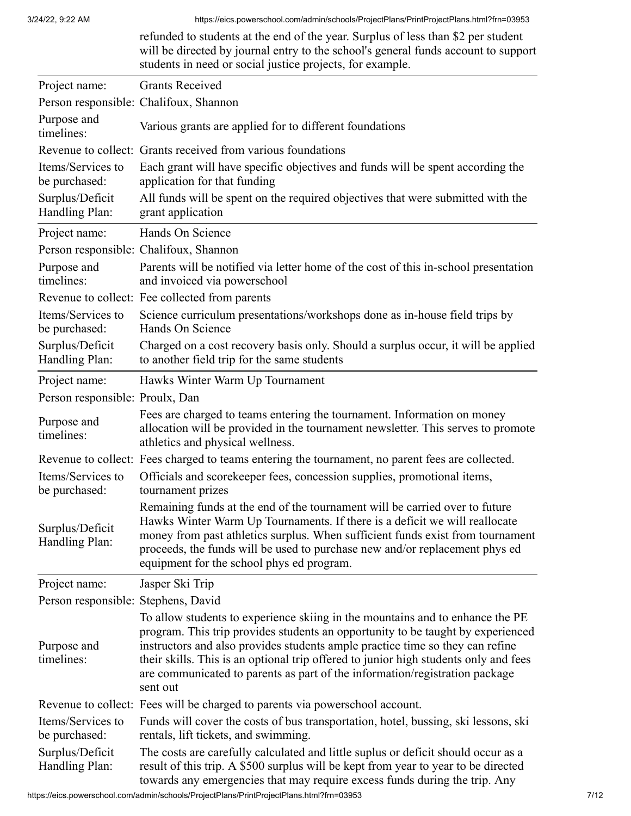|                                     | refunded to students at the end of the year. Surplus of less than \$2 per student<br>will be directed by journal entry to the school's general funds account to support<br>students in need or social justice projects, for example.                                                                                                                                                                                                 |
|-------------------------------------|--------------------------------------------------------------------------------------------------------------------------------------------------------------------------------------------------------------------------------------------------------------------------------------------------------------------------------------------------------------------------------------------------------------------------------------|
| Project name:                       | <b>Grants Received</b>                                                                                                                                                                                                                                                                                                                                                                                                               |
|                                     | Person responsible: Chalifoux, Shannon                                                                                                                                                                                                                                                                                                                                                                                               |
| Purpose and<br>timelines:           | Various grants are applied for to different foundations                                                                                                                                                                                                                                                                                                                                                                              |
|                                     | Revenue to collect: Grants received from various foundations                                                                                                                                                                                                                                                                                                                                                                         |
| Items/Services to<br>be purchased:  | Each grant will have specific objectives and funds will be spent according the<br>application for that funding                                                                                                                                                                                                                                                                                                                       |
| Surplus/Deficit<br>Handling Plan:   | All funds will be spent on the required objectives that were submitted with the<br>grant application                                                                                                                                                                                                                                                                                                                                 |
| Project name:                       | Hands On Science                                                                                                                                                                                                                                                                                                                                                                                                                     |
|                                     | Person responsible: Chalifoux, Shannon                                                                                                                                                                                                                                                                                                                                                                                               |
| Purpose and<br>timelines:           | Parents will be notified via letter home of the cost of this in-school presentation<br>and invoiced via powerschool                                                                                                                                                                                                                                                                                                                  |
|                                     | Revenue to collect: Fee collected from parents                                                                                                                                                                                                                                                                                                                                                                                       |
| Items/Services to<br>be purchased:  | Science curriculum presentations/workshops done as in-house field trips by<br>Hands On Science                                                                                                                                                                                                                                                                                                                                       |
| Surplus/Deficit<br>Handling Plan:   | Charged on a cost recovery basis only. Should a surplus occur, it will be applied<br>to another field trip for the same students                                                                                                                                                                                                                                                                                                     |
| Project name:                       | Hawks Winter Warm Up Tournament                                                                                                                                                                                                                                                                                                                                                                                                      |
| Person responsible: Proulx, Dan     |                                                                                                                                                                                                                                                                                                                                                                                                                                      |
| Purpose and<br>timelines:           | Fees are charged to teams entering the tournament. Information on money<br>allocation will be provided in the tournament newsletter. This serves to promote<br>athletics and physical wellness.                                                                                                                                                                                                                                      |
|                                     | Revenue to collect: Fees charged to teams entering the tournament, no parent fees are collected.                                                                                                                                                                                                                                                                                                                                     |
| Items/Services to<br>be purchased:  | Officials and scorekeeper fees, concession supplies, promotional items,<br>tournament prizes                                                                                                                                                                                                                                                                                                                                         |
| Surplus/Deficit<br>Handling Plan:   | Remaining funds at the end of the tournament will be carried over to future<br>Hawks Winter Warm Up Tournaments. If there is a deficit we will reallocate<br>money from past athletics surplus. When sufficient funds exist from tournament<br>proceeds, the funds will be used to purchase new and/or replacement phys ed<br>equipment for the school phys ed program.                                                              |
| Project name:                       | Jasper Ski Trip                                                                                                                                                                                                                                                                                                                                                                                                                      |
| Person responsible: Stephens, David |                                                                                                                                                                                                                                                                                                                                                                                                                                      |
| Purpose and<br>timelines:           | To allow students to experience skiing in the mountains and to enhance the PE<br>program. This trip provides students an opportunity to be taught by experienced<br>instructors and also provides students ample practice time so they can refine<br>their skills. This is an optional trip offered to junior high students only and fees<br>are communicated to parents as part of the information/registration package<br>sent out |
|                                     | Revenue to collect: Fees will be charged to parents via powerschool account.                                                                                                                                                                                                                                                                                                                                                         |
| Items/Services to<br>be purchased:  | Funds will cover the costs of bus transportation, hotel, bussing, ski lessons, ski<br>rentals, lift tickets, and swimming.                                                                                                                                                                                                                                                                                                           |
| Surplus/Deficit<br>Handling Plan:   | The costs are carefully calculated and little suplus or deficit should occur as a<br>result of this trip. A \$500 surplus will be kept from year to year to be directed<br>towards any emergencies that may require excess funds during the trip. Any                                                                                                                                                                                |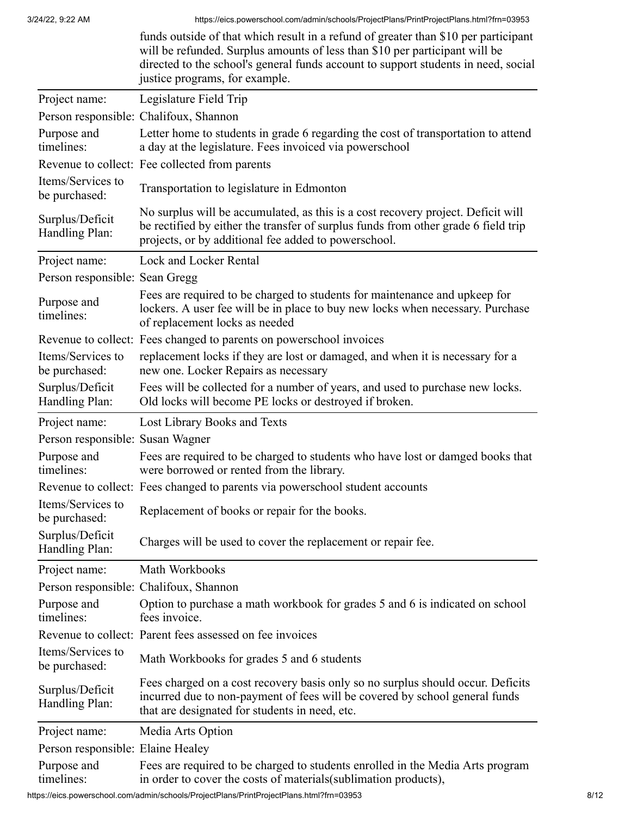|                                    | funds outside of that which result in a refund of greater than \$10 per participant<br>will be refunded. Surplus amounts of less than \$10 per participant will be<br>directed to the school's general funds account to support students in need, social<br>justice programs, for example. |
|------------------------------------|--------------------------------------------------------------------------------------------------------------------------------------------------------------------------------------------------------------------------------------------------------------------------------------------|
| Project name:                      | Legislature Field Trip                                                                                                                                                                                                                                                                     |
|                                    | Person responsible: Chalifoux, Shannon                                                                                                                                                                                                                                                     |
| Purpose and<br>timelines:          | Letter home to students in grade 6 regarding the cost of transportation to attend<br>a day at the legislature. Fees invoiced via powerschool                                                                                                                                               |
|                                    | Revenue to collect: Fee collected from parents                                                                                                                                                                                                                                             |
| Items/Services to<br>be purchased: | Transportation to legislature in Edmonton                                                                                                                                                                                                                                                  |
| Surplus/Deficit<br>Handling Plan:  | No surplus will be accumulated, as this is a cost recovery project. Deficit will<br>be rectified by either the transfer of surplus funds from other grade 6 field trip<br>projects, or by additional fee added to powerschool.                                                             |
| Project name:                      | Lock and Locker Rental                                                                                                                                                                                                                                                                     |
| Person responsible: Sean Gregg     |                                                                                                                                                                                                                                                                                            |
| Purpose and<br>timelines:          | Fees are required to be charged to students for maintenance and upkeep for<br>lockers. A user fee will be in place to buy new locks when necessary. Purchase<br>of replacement locks as needed                                                                                             |
|                                    | Revenue to collect: Fees changed to parents on powerschool invoices                                                                                                                                                                                                                        |
| Items/Services to<br>be purchased: | replacement locks if they are lost or damaged, and when it is necessary for a<br>new one. Locker Repairs as necessary                                                                                                                                                                      |
| Surplus/Deficit<br>Handling Plan:  | Fees will be collected for a number of years, and used to purchase new locks.<br>Old locks will become PE locks or destroyed if broken.                                                                                                                                                    |
| Project name:                      | Lost Library Books and Texts                                                                                                                                                                                                                                                               |
| Person responsible: Susan Wagner   |                                                                                                                                                                                                                                                                                            |
| Purpose and<br>timelines:          | Fees are required to be charged to students who have lost or damged books that<br>were borrowed or rented from the library.                                                                                                                                                                |
|                                    | Revenue to collect: Fees changed to parents via powerschool student accounts                                                                                                                                                                                                               |
| Items/Services to<br>be purchased: | Replacement of books or repair for the books.                                                                                                                                                                                                                                              |
| Surplus/Deficit<br>Handling Plan:  | Charges will be used to cover the replacement or repair fee.                                                                                                                                                                                                                               |
| Project name:                      | Math Workbooks                                                                                                                                                                                                                                                                             |
|                                    | Person responsible: Chalifoux, Shannon                                                                                                                                                                                                                                                     |
| Purpose and<br>timelines:          | Option to purchase a math workbook for grades 5 and 6 is indicated on school<br>fees invoice.                                                                                                                                                                                              |
|                                    | Revenue to collect: Parent fees assessed on fee invoices                                                                                                                                                                                                                                   |
| Items/Services to<br>be purchased: | Math Workbooks for grades 5 and 6 students                                                                                                                                                                                                                                                 |
| Surplus/Deficit<br>Handling Plan:  | Fees charged on a cost recovery basis only so no surplus should occur. Deficits<br>incurred due to non-payment of fees will be covered by school general funds<br>that are designated for students in need, etc.                                                                           |
| Project name:                      | Media Arts Option                                                                                                                                                                                                                                                                          |
| Person responsible: Elaine Healey  |                                                                                                                                                                                                                                                                                            |
| Purpose and<br>timelines:          | Fees are required to be charged to students enrolled in the Media Arts program<br>in order to cover the costs of materials(sublimation products),                                                                                                                                          |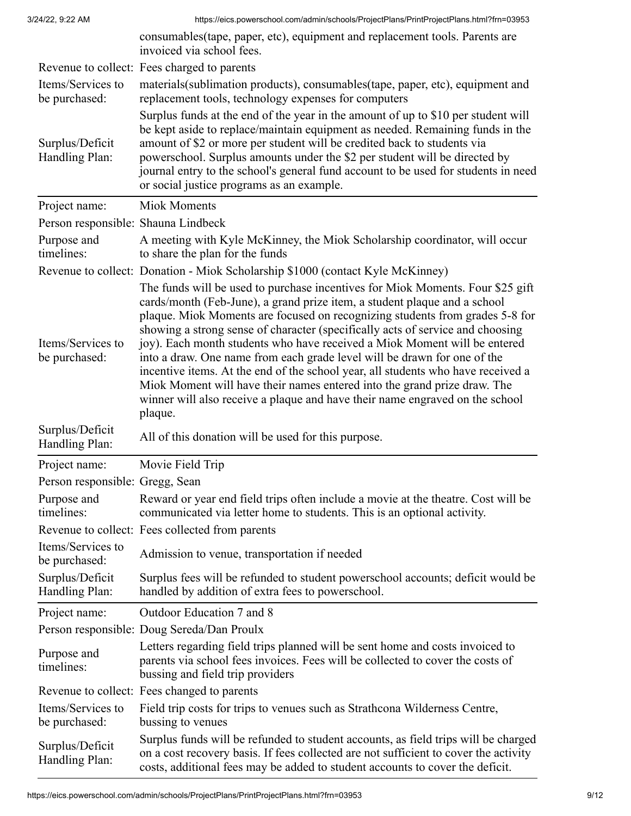|                                     | consumables (tape, paper, etc), equipment and replacement tools. Parents are<br>invoiced via school fees.                                                                                                                                                                                                                                                                                                                                                                                                                                                                                                                                                                                                                                         |
|-------------------------------------|---------------------------------------------------------------------------------------------------------------------------------------------------------------------------------------------------------------------------------------------------------------------------------------------------------------------------------------------------------------------------------------------------------------------------------------------------------------------------------------------------------------------------------------------------------------------------------------------------------------------------------------------------------------------------------------------------------------------------------------------------|
|                                     | Revenue to collect: Fees charged to parents                                                                                                                                                                                                                                                                                                                                                                                                                                                                                                                                                                                                                                                                                                       |
| Items/Services to<br>be purchased:  | materials (sublimation products), consumables (tape, paper, etc), equipment and<br>replacement tools, technology expenses for computers                                                                                                                                                                                                                                                                                                                                                                                                                                                                                                                                                                                                           |
| Surplus/Deficit<br>Handling Plan:   | Surplus funds at the end of the year in the amount of up to \$10 per student will<br>be kept aside to replace/maintain equipment as needed. Remaining funds in the<br>amount of \$2 or more per student will be credited back to students via<br>powerschool. Surplus amounts under the \$2 per student will be directed by<br>journal entry to the school's general fund account to be used for students in need<br>or social justice programs as an example.                                                                                                                                                                                                                                                                                    |
| Project name:                       | <b>Miok Moments</b>                                                                                                                                                                                                                                                                                                                                                                                                                                                                                                                                                                                                                                                                                                                               |
| Person responsible: Shauna Lindbeck |                                                                                                                                                                                                                                                                                                                                                                                                                                                                                                                                                                                                                                                                                                                                                   |
| Purpose and<br>timelines:           | A meeting with Kyle McKinney, the Miok Scholarship coordinator, will occur<br>to share the plan for the funds                                                                                                                                                                                                                                                                                                                                                                                                                                                                                                                                                                                                                                     |
|                                     | Revenue to collect: Donation - Miok Scholarship \$1000 (contact Kyle McKinney)                                                                                                                                                                                                                                                                                                                                                                                                                                                                                                                                                                                                                                                                    |
| Items/Services to<br>be purchased:  | The funds will be used to purchase incentives for Miok Moments. Four \$25 gift<br>cards/month (Feb-June), a grand prize item, a student plaque and a school<br>plaque. Miok Moments are focused on recognizing students from grades 5-8 for<br>showing a strong sense of character (specifically acts of service and choosing<br>joy). Each month students who have received a Miok Moment will be entered<br>into a draw. One name from each grade level will be drawn for one of the<br>incentive items. At the end of the school year, all students who have received a<br>Miok Moment will have their names entered into the grand prize draw. The<br>winner will also receive a plaque and have their name engraved on the school<br>plaque. |
| Surplus/Deficit<br>Handling Plan:   | All of this donation will be used for this purpose.                                                                                                                                                                                                                                                                                                                                                                                                                                                                                                                                                                                                                                                                                               |
| Project name:                       | Movie Field Trip                                                                                                                                                                                                                                                                                                                                                                                                                                                                                                                                                                                                                                                                                                                                  |
| Person responsible: Gregg, Sean     |                                                                                                                                                                                                                                                                                                                                                                                                                                                                                                                                                                                                                                                                                                                                                   |
| Purpose and<br>timelines:           | Reward or year end field trips often include a movie at the theatre. Cost will be<br>communicated via letter home to students. This is an optional activity.                                                                                                                                                                                                                                                                                                                                                                                                                                                                                                                                                                                      |
|                                     | Revenue to collect: Fees collected from parents                                                                                                                                                                                                                                                                                                                                                                                                                                                                                                                                                                                                                                                                                                   |
| Items/Services to<br>be purchased:  | Admission to venue, transportation if needed                                                                                                                                                                                                                                                                                                                                                                                                                                                                                                                                                                                                                                                                                                      |
| Surplus/Deficit<br>Handling Plan:   | Surplus fees will be refunded to student powerschool accounts; deficit would be<br>handled by addition of extra fees to powerschool.                                                                                                                                                                                                                                                                                                                                                                                                                                                                                                                                                                                                              |
| Project name:                       | Outdoor Education 7 and 8                                                                                                                                                                                                                                                                                                                                                                                                                                                                                                                                                                                                                                                                                                                         |
|                                     | Person responsible: Doug Sereda/Dan Proulx                                                                                                                                                                                                                                                                                                                                                                                                                                                                                                                                                                                                                                                                                                        |
| Purpose and<br>timelines:           | Letters regarding field trips planned will be sent home and costs invoiced to<br>parents via school fees invoices. Fees will be collected to cover the costs of<br>bussing and field trip providers                                                                                                                                                                                                                                                                                                                                                                                                                                                                                                                                               |
|                                     | Revenue to collect: Fees changed to parents                                                                                                                                                                                                                                                                                                                                                                                                                                                                                                                                                                                                                                                                                                       |
| Items/Services to<br>be purchased:  | Field trip costs for trips to venues such as Strathcona Wilderness Centre,<br>bussing to venues                                                                                                                                                                                                                                                                                                                                                                                                                                                                                                                                                                                                                                                   |
| Surplus/Deficit<br>Handling Plan:   | Surplus funds will be refunded to student accounts, as field trips will be charged<br>on a cost recovery basis. If fees collected are not sufficient to cover the activity<br>costs, additional fees may be added to student accounts to cover the deficit.                                                                                                                                                                                                                                                                                                                                                                                                                                                                                       |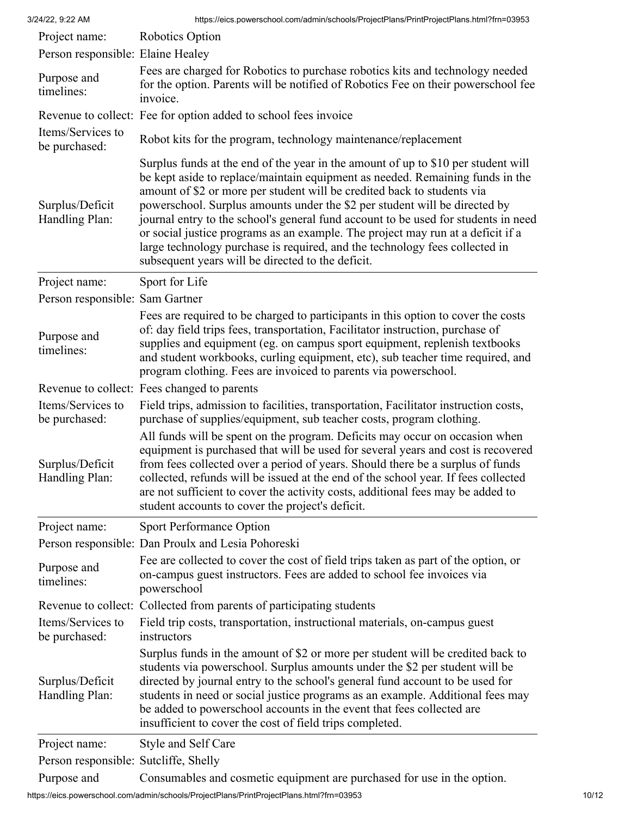| 3/24/22, 9:22 AM                                       | https://eics.powerschool.com/admin/schools/ProjectPlans/PrintProjectPlans.html?frn=03953                                                                                                                                                                                                                                                                                                                                                                                                                                                                                                                                                 |
|--------------------------------------------------------|------------------------------------------------------------------------------------------------------------------------------------------------------------------------------------------------------------------------------------------------------------------------------------------------------------------------------------------------------------------------------------------------------------------------------------------------------------------------------------------------------------------------------------------------------------------------------------------------------------------------------------------|
| Project name:                                          | Robotics Option                                                                                                                                                                                                                                                                                                                                                                                                                                                                                                                                                                                                                          |
| Person responsible: Elaine Healey                      |                                                                                                                                                                                                                                                                                                                                                                                                                                                                                                                                                                                                                                          |
| Purpose and<br>timelines:                              | Fees are charged for Robotics to purchase robotics kits and technology needed<br>for the option. Parents will be notified of Robotics Fee on their powerschool fee<br>invoice.                                                                                                                                                                                                                                                                                                                                                                                                                                                           |
|                                                        | Revenue to collect: Fee for option added to school fees invoice                                                                                                                                                                                                                                                                                                                                                                                                                                                                                                                                                                          |
| Items/Services to<br>be purchased:                     | Robot kits for the program, technology maintenance/replacement                                                                                                                                                                                                                                                                                                                                                                                                                                                                                                                                                                           |
| Surplus/Deficit<br>Handling Plan:                      | Surplus funds at the end of the year in the amount of up to \$10 per student will<br>be kept aside to replace/maintain equipment as needed. Remaining funds in the<br>amount of \$2 or more per student will be credited back to students via<br>powerschool. Surplus amounts under the \$2 per student will be directed by<br>journal entry to the school's general fund account to be used for students in need<br>or social justice programs as an example. The project may run at a deficit if a<br>large technology purchase is required, and the technology fees collected in<br>subsequent years will be directed to the deficit. |
| Project name:                                          | Sport for Life                                                                                                                                                                                                                                                                                                                                                                                                                                                                                                                                                                                                                           |
| Person responsible: Sam Gartner                        |                                                                                                                                                                                                                                                                                                                                                                                                                                                                                                                                                                                                                                          |
| Purpose and<br>timelines:                              | Fees are required to be charged to participants in this option to cover the costs<br>of: day field trips fees, transportation, Facilitator instruction, purchase of<br>supplies and equipment (eg. on campus sport equipment, replenish textbooks<br>and student workbooks, curling equipment, etc), sub teacher time required, and<br>program clothing. Fees are invoiced to parents via powerschool.                                                                                                                                                                                                                                   |
|                                                        | Revenue to collect: Fees changed to parents                                                                                                                                                                                                                                                                                                                                                                                                                                                                                                                                                                                              |
| Items/Services to<br>be purchased:                     | Field trips, admission to facilities, transportation, Facilitator instruction costs,<br>purchase of supplies/equipment, sub teacher costs, program clothing.                                                                                                                                                                                                                                                                                                                                                                                                                                                                             |
| Surplus/Deficit<br>Handling Plan:                      | All funds will be spent on the program. Deficits may occur on occasion when<br>equipment is purchased that will be used for several years and cost is recovered<br>from fees collected over a period of years. Should there be a surplus of funds<br>collected, refunds will be issued at the end of the school year. If fees collected<br>are not sufficient to cover the activity costs, additional fees may be added to<br>student accounts to cover the project's deficit.                                                                                                                                                           |
| Project name:                                          | <b>Sport Performance Option</b>                                                                                                                                                                                                                                                                                                                                                                                                                                                                                                                                                                                                          |
|                                                        | Person responsible: Dan Proulx and Lesia Pohoreski                                                                                                                                                                                                                                                                                                                                                                                                                                                                                                                                                                                       |
| Purpose and<br>timelines:                              | Fee are collected to cover the cost of field trips taken as part of the option, or<br>on-campus guest instructors. Fees are added to school fee invoices via<br>powerschool                                                                                                                                                                                                                                                                                                                                                                                                                                                              |
|                                                        | Revenue to collect: Collected from parents of participating students                                                                                                                                                                                                                                                                                                                                                                                                                                                                                                                                                                     |
| Items/Services to<br>be purchased:                     | Field trip costs, transportation, instructional materials, on-campus guest<br>instructors                                                                                                                                                                                                                                                                                                                                                                                                                                                                                                                                                |
| Surplus/Deficit<br>Handling Plan:                      | Surplus funds in the amount of \$2 or more per student will be credited back to<br>students via powerschool. Surplus amounts under the \$2 per student will be<br>directed by journal entry to the school's general fund account to be used for<br>students in need or social justice programs as an example. Additional fees may<br>be added to powerschool accounts in the event that fees collected are<br>insufficient to cover the cost of field trips completed.                                                                                                                                                                   |
| Project name:<br>Person responsible: Sutcliffe, Shelly | Style and Self Care                                                                                                                                                                                                                                                                                                                                                                                                                                                                                                                                                                                                                      |

Purpose and Consumables and cosmetic equipment are purchased for use in the option.

https://eics.powerschool.com/admin/schools/ProjectPlans/PrintProjectPlans.html?frn=03953 10/12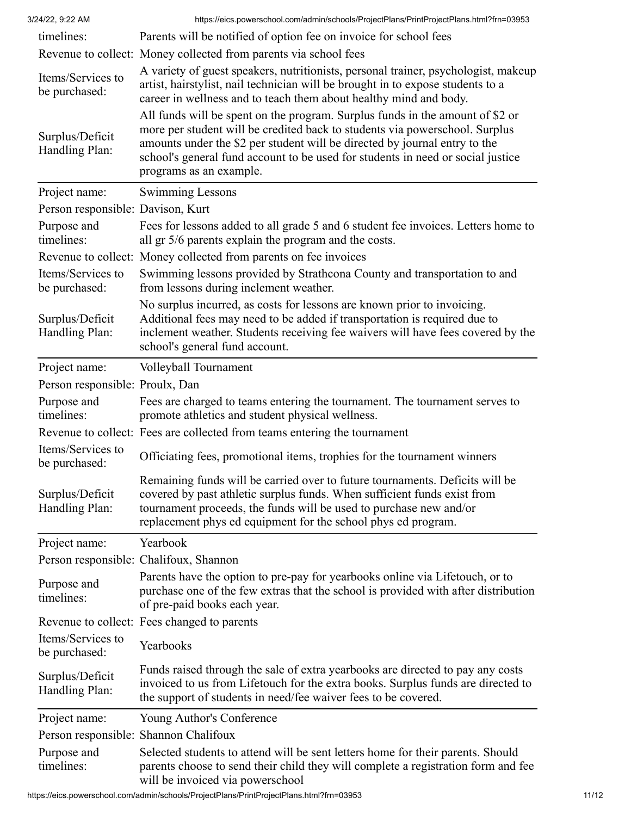| timelines:                         | Parents will be notified of option fee on invoice for school fees                                                                                                                                                                                                                                                                                        |
|------------------------------------|----------------------------------------------------------------------------------------------------------------------------------------------------------------------------------------------------------------------------------------------------------------------------------------------------------------------------------------------------------|
|                                    | Revenue to collect: Money collected from parents via school fees                                                                                                                                                                                                                                                                                         |
| Items/Services to<br>be purchased: | A variety of guest speakers, nutritionists, personal trainer, psychologist, makeup<br>artist, hairstylist, nail technician will be brought in to expose students to a<br>career in wellness and to teach them about healthy mind and body.                                                                                                               |
| Surplus/Deficit<br>Handling Plan:  | All funds will be spent on the program. Surplus funds in the amount of \$2 or<br>more per student will be credited back to students via powerschool. Surplus<br>amounts under the \$2 per student will be directed by journal entry to the<br>school's general fund account to be used for students in need or social justice<br>programs as an example. |
| Project name:                      | <b>Swimming Lessons</b>                                                                                                                                                                                                                                                                                                                                  |
| Person responsible: Davison, Kurt  |                                                                                                                                                                                                                                                                                                                                                          |
| Purpose and<br>timelines:          | Fees for lessons added to all grade 5 and 6 student fee invoices. Letters home to<br>all gr 5/6 parents explain the program and the costs.                                                                                                                                                                                                               |
|                                    | Revenue to collect: Money collected from parents on fee invoices                                                                                                                                                                                                                                                                                         |
| Items/Services to<br>be purchased: | Swimming lessons provided by Strathcona County and transportation to and<br>from lessons during inclement weather.                                                                                                                                                                                                                                       |
| Surplus/Deficit<br>Handling Plan:  | No surplus incurred, as costs for lessons are known prior to invoicing.<br>Additional fees may need to be added if transportation is required due to<br>inclement weather. Students receiving fee waivers will have fees covered by the<br>school's general fund account.                                                                                |
| Project name:                      | Volleyball Tournament                                                                                                                                                                                                                                                                                                                                    |
| Person responsible: Proulx, Dan    |                                                                                                                                                                                                                                                                                                                                                          |
| Purpose and<br>timelines:          | Fees are charged to teams entering the tournament. The tournament serves to<br>promote athletics and student physical wellness.                                                                                                                                                                                                                          |
|                                    | Revenue to collect: Fees are collected from teams entering the tournament                                                                                                                                                                                                                                                                                |
| Items/Services to<br>be purchased: | Officiating fees, promotional items, trophies for the tournament winners                                                                                                                                                                                                                                                                                 |
| Surplus/Deficit<br>Handling Plan:  | Remaining funds will be carried over to future tournaments. Deficits will be<br>covered by past athletic surplus funds. When sufficient funds exist from<br>tournament proceeds, the funds will be used to purchase new and/or<br>replacement phys ed equipment for the school phys ed program.                                                          |
| Project name:                      | Yearbook                                                                                                                                                                                                                                                                                                                                                 |
|                                    | Person responsible: Chalifoux, Shannon                                                                                                                                                                                                                                                                                                                   |
| Purpose and<br>timelines:          | Parents have the option to pre-pay for yearbooks online via Lifetouch, or to<br>purchase one of the few extras that the school is provided with after distribution<br>of pre-paid books each year.                                                                                                                                                       |
|                                    | Revenue to collect: Fees changed to parents                                                                                                                                                                                                                                                                                                              |
| Items/Services to<br>be purchased: | Yearbooks                                                                                                                                                                                                                                                                                                                                                |
| Surplus/Deficit<br>Handling Plan:  | Funds raised through the sale of extra yearbooks are directed to pay any costs<br>invoiced to us from Lifetouch for the extra books. Surplus funds are directed to<br>the support of students in need/fee waiver fees to be covered.                                                                                                                     |
| Project name:                      | Young Author's Conference                                                                                                                                                                                                                                                                                                                                |
|                                    | Person responsible: Shannon Chalifoux                                                                                                                                                                                                                                                                                                                    |
| Purpose and<br>timelines:          | Selected students to attend will be sent letters home for their parents. Should<br>parents choose to send their child they will complete a registration form and fee<br>will be invoiced via powerschool                                                                                                                                                 |